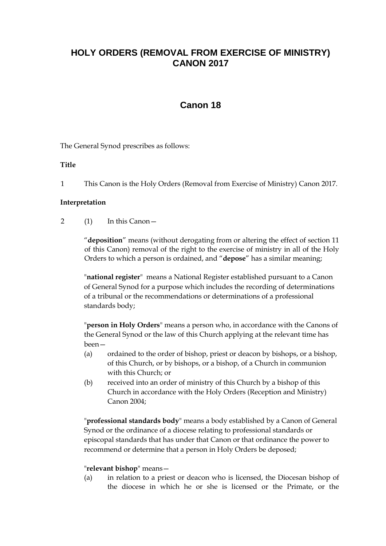# **HOLY ORDERS (REMOVAL FROM EXERCISE OF MINISTRY) CANON 2017**

# **Canon 18**

The General Synod prescribes as follows:

**Title** 

1 This Canon is the Holy Orders (Removal from Exercise of Ministry) Canon 2017.

## **Interpretation**

2 (1) In this Canon—

"**deposition**" means (without derogating from or altering the effect of section 11 of this Canon) removal of the right to the exercise of ministry in all of the Holy Orders to which a person is ordained, and "**depose**" has a similar meaning;

"**national register**" means a National Register established pursuant to a Canon of General Synod for a purpose which includes the recording of determinations of a tribunal or the recommendations or determinations of a professional standards body;

"**person in Holy Orders**" means a person who, in accordance with the Canons of the General Synod or the law of this Church applying at the relevant time has been—

- (a) ordained to the order of bishop, priest or deacon by bishops, or a bishop, of this Church, or by bishops, or a bishop, of a Church in communion with this Church; or
- (b) received into an order of ministry of this Church by a bishop of this Church in accordance with the Holy Orders (Reception and Ministry) Canon 2004;

"**professional standards body**" means a body established by a Canon of General Synod or the ordinance of a diocese relating to professional standards or episcopal standards that has under that Canon or that ordinance the power to recommend or determine that a person in Holy Orders be deposed;

#### "**relevant bishop**" means—

(a) in relation to a priest or deacon who is licensed, the Diocesan bishop of the diocese in which he or she is licensed or the Primate, or the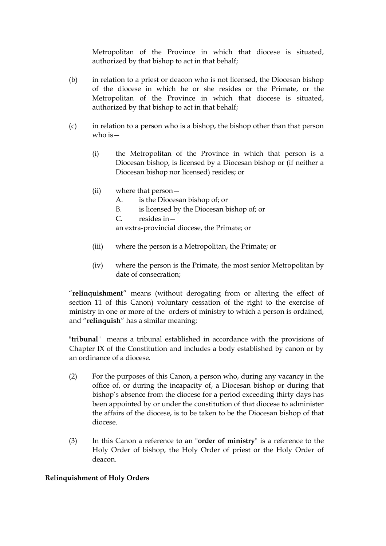Metropolitan of the Province in which that diocese is situated, authorized by that bishop to act in that behalf;

- (b) in relation to a priest or deacon who is not licensed, the Diocesan bishop of the diocese in which he or she resides or the Primate, or the Metropolitan of the Province in which that diocese is situated, authorized by that bishop to act in that behalf;
- (c) in relation to a person who is a bishop, the bishop other than that person who is  $-$ 
	- (i) the Metropolitan of the Province in which that person is a Diocesan bishop, is licensed by a Diocesan bishop or (if neither a Diocesan bishop nor licensed) resides; or
	- (ii) where that person—
		- A. is the Diocesan bishop of; or
		- B. is licensed by the Diocesan bishop of; or
		- C. resides in—

an extra-provincial diocese, the Primate; or

- (iii) where the person is a Metropolitan, the Primate; or
- (iv) where the person is the Primate, the most senior Metropolitan by date of consecration;

"**relinquishment**" means (without derogating from or altering the effect of section 11 of this Canon) voluntary cessation of the right to the exercise of ministry in one or more of the orders of ministry to which a person is ordained, and "**relinquish**" has a similar meaning;

"**tribunal**" means a tribunal established in accordance with the provisions of Chapter IX of the Constitution and includes a body established by canon or by an ordinance of a diocese.

- (2) For the purposes of this Canon, a person who, during any vacancy in the office of, or during the incapacity of, a Diocesan bishop or during that bishop's absence from the diocese for a period exceeding thirty days has been appointed by or under the constitution of that diocese to administer the affairs of the diocese, is to be taken to be the Diocesan bishop of that diocese.
- (3) In this Canon a reference to an "**order of ministry**" is a reference to the Holy Order of bishop, the Holy Order of priest or the Holy Order of deacon.

#### **Relinquishment of Holy Orders**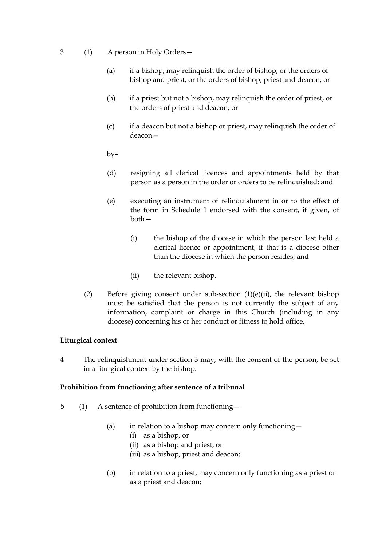- 3 (1) A person in Holy Orders—
	- (a) if a bishop, may relinquish the order of bishop, or the orders of bishop and priest, or the orders of bishop, priest and deacon; or
	- (b) if a priest but not a bishop, may relinquish the order of priest, or the orders of priest and deacon; or
	- (c) if a deacon but not a bishop or priest, may relinquish the order of deacon—
	- by–
	- (d) resigning all clerical licences and appointments held by that person as a person in the order or orders to be relinquished; and
	- (e) executing an instrument of relinquishment in or to the effect of the form in Schedule 1 endorsed with the consent, if given, of both—
		- (i) the bishop of the diocese in which the person last held a clerical licence or appointment, if that is a diocese other than the diocese in which the person resides; and
		- (ii) the relevant bishop.
	- (2) Before giving consent under sub-section (1)(e)(ii), the relevant bishop must be satisfied that the person is not currently the subject of any information, complaint or charge in this Church (including in any diocese) concerning his or her conduct or fitness to hold office.

#### **Liturgical context**

4 The relinquishment under section 3 may, with the consent of the person, be set in a liturgical context by the bishop.

#### **Prohibition from functioning after sentence of a tribunal**

- 5 (1) A sentence of prohibition from functioning—
	- (a) in relation to a bishop may concern only functioning  $-$ 
		- (i) as a bishop, or
		- (ii) as a bishop and priest; or
		- (iii) as a bishop, priest and deacon;
	- (b) in relation to a priest, may concern only functioning as a priest or as a priest and deacon;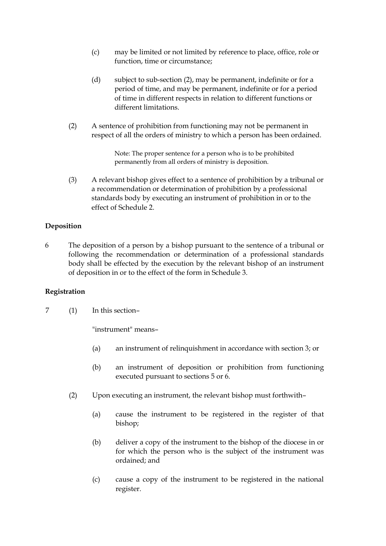- (c) may be limited or not limited by reference to place, office, role or function, time or circumstance;
- (d) subject to sub-section (2), may be permanent, indefinite or for a period of time, and may be permanent, indefinite or for a period of time in different respects in relation to different functions or different limitations.
- (2) A sentence of prohibition from functioning may not be permanent in respect of all the orders of ministry to which a person has been ordained.

Note: The proper sentence for a person who is to be prohibited permanently from all orders of ministry is deposition.

(3) A relevant bishop gives effect to a sentence of prohibition by a tribunal or a recommendation or determination of prohibition by a professional standards body by executing an instrument of prohibition in or to the effect of Schedule 2.

## **Deposition**

6 The deposition of a person by a bishop pursuant to the sentence of a tribunal or following the recommendation or determination of a professional standards body shall be effected by the execution by the relevant bishop of an instrument of deposition in or to the effect of the form in Schedule 3.

#### **Registration**

7 (1) In this section–

"instrument" means–

- (a) an instrument of relinquishment in accordance with section 3; or
- (b) an instrument of deposition or prohibition from functioning executed pursuant to sections 5 or 6.
- (2) Upon executing an instrument, the relevant bishop must forthwith–
	- (a) cause the instrument to be registered in the register of that bishop;
	- (b) deliver a copy of the instrument to the bishop of the diocese in or for which the person who is the subject of the instrument was ordained; and
	- (c) cause a copy of the instrument to be registered in the national register.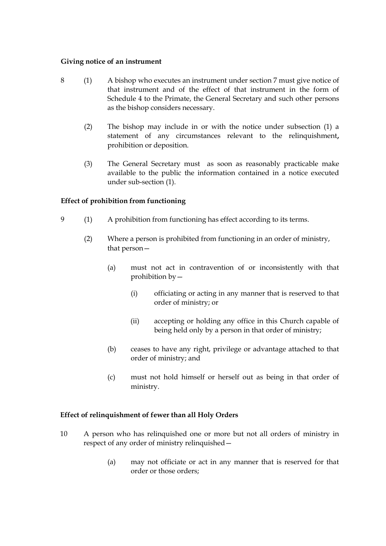#### **Giving notice of an instrument**

- 8 (1) A bishop who executes an instrument under section 7 must give notice of that instrument and of the effect of that instrument in the form of Schedule 4 to the Primate, the General Secretary and such other persons as the bishop considers necessary.
	- (2) The bishop may include in or with the notice under subsection (1) a statement of any circumstances relevant to the relinquishment**,** prohibition or deposition.
	- (3) The General Secretary must as soon as reasonably practicable make available to the public the information contained in a notice executed under sub-section (1).

## **Effect of prohibition from functioning**

- 9 (1) A prohibition from functioning has effect according to its terms.
	- (2) Where a person is prohibited from functioning in an order of ministry, that person—
		- (a) must not act in contravention of or inconsistently with that prohibition by—
			- (i) officiating or acting in any manner that is reserved to that order of ministry; or
			- (ii) accepting or holding any office in this Church capable of being held only by a person in that order of ministry;
		- (b) ceases to have any right, privilege or advantage attached to that order of ministry; and
		- (c) must not hold himself or herself out as being in that order of ministry.

#### **Effect of relinquishment of fewer than all Holy Orders**

- 10 A person who has relinquished one or more but not all orders of ministry in respect of any order of ministry relinquished—
	- (a) may not officiate or act in any manner that is reserved for that order or those orders;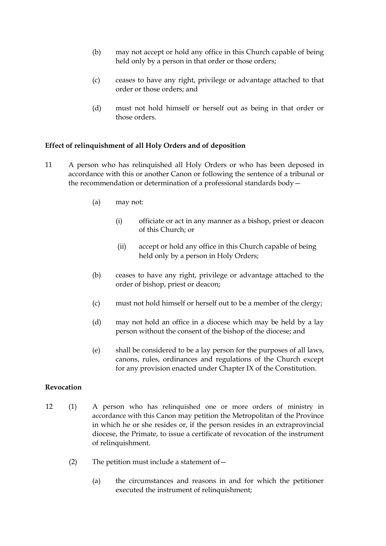- (b) may not accept or hold any office in this Church capable of being held only by a person in that order or those orders;
- (c) ceases to have any right, privilege or advantage attached to that order or those orders; and
- (d) must not hold himself or herself out as being in that order or those orders.

#### **Effect of relinquishment of all Holy Orders and of deposition**

- 11 A person who has relinquished all Holy Orders or who has been deposed in accordance with this or another Canon or following the sentence of a tribunal or the recommendation or determination of a professional standards body—
	- (a) may not:
		- (i) officiate or act in any manner as a bishop, priest or deacon of this Church; or
		- (ii) accept or hold any office in this Church capable of being held only by a person in Holy Orders;
	- (b) ceases to have any right, privilege or advantage attached to the order of bishop, priest or deacon;
	- (c) must not hold himself or herself out to be a member of the clergy;
	- (d) may not hold an office in a diocese which may be held by a lay person without the consent of the bishop of the diocese; and
	- (e) shall be considered to be a lay person for the purposes of all laws, canons, rules, ordinances and regulations of the Church except for any provision enacted under Chapter IX of the Constitution.

#### **Revocation**

- 12 (1) A person who has relinquished one or more orders of ministry in accordance with this Canon may petition the Metropolitan of the Province in which he or she resides or, if the person resides in an extraprovincial diocese, the Primate, to issue a certificate of revocation of the instrument of relinquishment.
	- (2) The petition must include a statement of  $-$ 
		- (a) the circumstances and reasons in and for which the petitioner executed the instrument of relinquishment;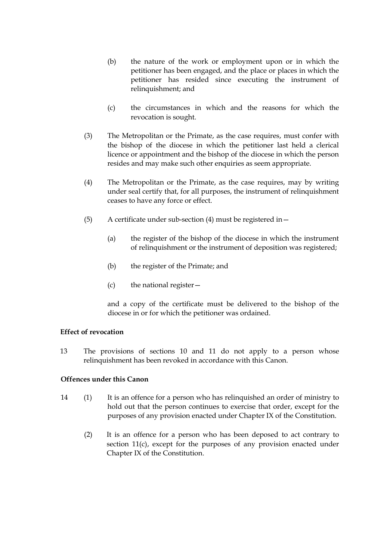- (b) the nature of the work or employment upon or in which the petitioner has been engaged, and the place or places in which the petitioner has resided since executing the instrument of relinquishment; and
- (c) the circumstances in which and the reasons for which the revocation is sought.
- (3) The Metropolitan or the Primate, as the case requires, must confer with the bishop of the diocese in which the petitioner last held a clerical licence or appointment and the bishop of the diocese in which the person resides and may make such other enquiries as seem appropriate.
- (4) The Metropolitan or the Primate, as the case requires, may by writing under seal certify that, for all purposes, the instrument of relinquishment ceases to have any force or effect.
- (5) A certificate under sub-section (4) must be registered in—
	- (a) the register of the bishop of the diocese in which the instrument of relinquishment or the instrument of deposition was registered;
	- (b) the register of the Primate; and
	- (c) the national register—

and a copy of the certificate must be delivered to the bishop of the diocese in or for which the petitioner was ordained.

#### **Effect of revocation**

13 The provisions of sections 10 and 11 do not apply to a person whose relinquishment has been revoked in accordance with this Canon.

## **Offences under this Canon**

- 14 (1) It is an offence for a person who has relinquished an order of ministry to hold out that the person continues to exercise that order, except for the purposes of any provision enacted under Chapter IX of the Constitution.
	- (2) It is an offence for a person who has been deposed to act contrary to section 11(c), except for the purposes of any provision enacted under Chapter IX of the Constitution.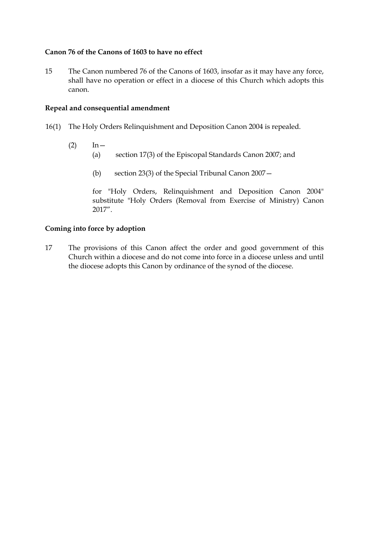## **Canon 76 of the Canons of 1603 to have no effect**

15 The Canon numbered 76 of the Canons of 1603, insofar as it may have any force, shall have no operation or effect in a diocese of this Church which adopts this canon.

#### **Repeal and consequential amendment**

- 16(1) The Holy Orders Relinquishment and Deposition Canon 2004 is repealed.
	- $(2)$  In
		- (a) section 17(3) of the Episcopal Standards Canon 2007; and
			- (b) section 23(3) of the Special Tribunal Canon 2007—

for "Holy Orders, Relinquishment and Deposition Canon 2004" substitute "Holy Orders (Removal from Exercise of Ministry) Canon 2017".

#### **Coming into force by adoption**

17 The provisions of this Canon affect the order and good government of this Church within a diocese and do not come into force in a diocese unless and until the diocese adopts this Canon by ordinance of the synod of the diocese.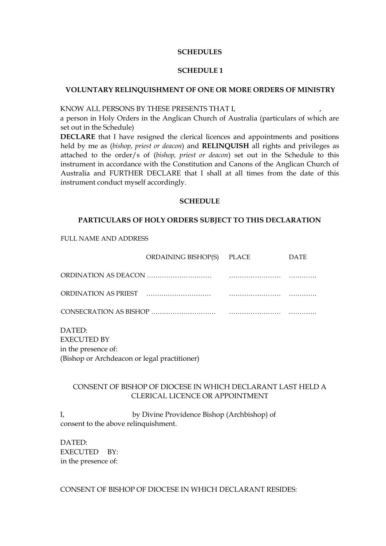#### **SCHEDULES**

#### **SCHEDULE 1**

#### **VOLUNTARY RELINQUISHMENT OF ONE OR MORE ORDERS OF MINISTRY**

KNOW ALL PERSONS BY THESE PRESENTS THAT I,

a person in Holy Orders in the Anglican Church of Australia (particulars of which are set out in the Schedule)

**DECLARE** that I have resigned the clerical licences and appointments and positions held by me as (*bishop, priest or deacon*) and **RELINQUISH** all rights and privileges as attached to the order/s of (*bishop, priest or deacon*) set out in the Schedule to this instrument in accordance with the Constitution and Canons of the Anglican Church of Australia and FURTHER DECLARE that I shall at all times from the date of this instrument conduct myself accordingly.

#### **SCHEDULE**

#### **PARTICULARS OF HOLY ORDERS SUBJECT TO THIS DECLARATION**

FULL NAME AND ADDRESS

|                                                     | ORDAINING BISHOP(S) PLACE | <b>DATE</b> |
|-----------------------------------------------------|---------------------------|-------------|
|                                                     |                           |             |
|                                                     |                           |             |
|                                                     |                           |             |
| DATED:<br><b>EXECUTED BY</b><br>in the presence of: |                           |             |

(Bishop or Archdeacon or legal practitioner)

### CONSENT OF BISHOP OF DIOCESE IN WHICH DECLARANT LAST HELD A CLERICAL LICENCE OR APPOINTMENT

I, by Divine Providence Bishop (Archbishop) of consent to the above relinquishment.

DATED: EXECUTED BY: in the presence of:

CONSENT OF BISHOP OF DIOCESE IN WHICH DECLARANT RESIDES: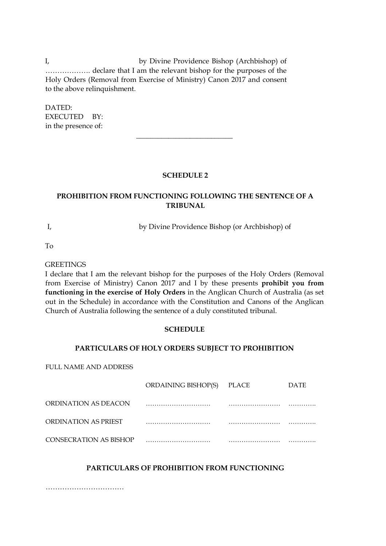I, by Divine Providence Bishop (Archbishop) of ………………. declare that I am the relevant bishop for the purposes of the Holy Orders (Removal from Exercise of Ministry) Canon 2017 and consent to the above relinquishment.

DATED: EXECUTED BY: in the presence of:

#### **SCHEDULE 2**

 $\overline{\phantom{a}}$  , where  $\overline{\phantom{a}}$  , where  $\overline{\phantom{a}}$ 

## **PROHIBITION FROM FUNCTIONING FOLLOWING THE SENTENCE OF A TRIBUNAL**

I, by Divine Providence Bishop (or Archbishop) of

To

**GREETINGS** 

I declare that I am the relevant bishop for the purposes of the Holy Orders (Removal from Exercise of Ministry) Canon 2017 and I by these presents **prohibit you from functioning in the exercise of Holy Orders** in the Anglican Church of Australia (as set out in the Schedule) in accordance with the Constitution and Canons of the Anglican Church of Australia following the sentence of a duly constituted tribunal.

#### **SCHEDULE**

#### **PARTICULARS OF HOLY ORDERS SUBJECT TO PROHIBITION**

FULL NAME AND ADDRESS

|                        | ORDAINING BISHOP(S) PLACE | <b>DATE</b> |
|------------------------|---------------------------|-------------|
| ORDINATION AS DEACON   |                           |             |
| ORDINATION AS PRIEST   |                           |             |
| CONSECRATION AS BISHOP |                           |             |

#### **PARTICULARS OF PROHIBITION FROM FUNCTIONING**

……………………………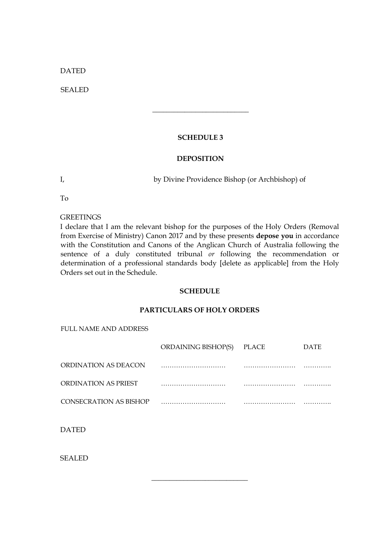DATED

SEALED

#### **SCHEDULE 3**

 $\overline{\phantom{a}}$  , where  $\overline{\phantom{a}}$  , where  $\overline{\phantom{a}}$  , where  $\overline{\phantom{a}}$ 

#### **DEPOSITION**

I, by Divine Providence Bishop (or Archbishop) of

To

**GREETINGS** 

I declare that I am the relevant bishop for the purposes of the Holy Orders (Removal from Exercise of Ministry) Canon 2017 and by these presents **depose you** in accordance with the Constitution and Canons of the Anglican Church of Australia following the sentence of a duly constituted tribunal *or* following the recommendation or determination of a professional standards body [delete as applicable] from the Holy Orders set out in the Schedule.

#### **SCHEDULE**

#### **PARTICULARS OF HOLY ORDERS**

FULL NAME AND ADDRESS

|                        | ORDAINING BISHOP(S) | PLACE | <b>DATE</b> |
|------------------------|---------------------|-------|-------------|
| ORDINATION AS DEACON   |                     |       |             |
| ORDINATION AS PRIEST   |                     |       |             |
| CONSECRATION AS BISHOP |                     |       |             |

\_\_\_\_\_\_\_\_\_\_\_\_\_\_\_\_\_\_\_\_\_\_\_\_\_\_\_

DATED

SEALED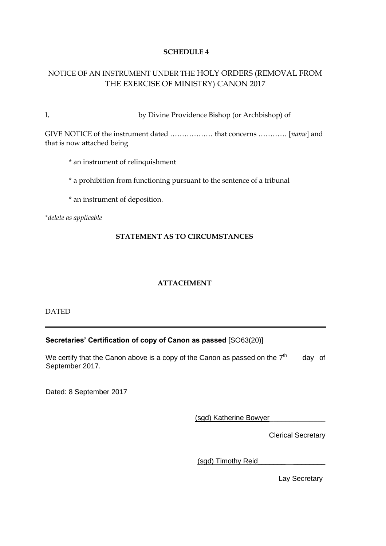## **SCHEDULE 4**

## NOTICE OF AN INSTRUMENT UNDER THE HOLY ORDERS (REMOVAL FROM THE EXERCISE OF MINISTRY) CANON 2017

I, by Divine Providence Bishop (or Archbishop) of

GIVE NOTICE of the instrument dated ……………… that concerns ………… [*name*] and that is now attached being

\* an instrument of relinquishment

\* a prohibition from functioning pursuant to the sentence of a tribunal

\* an instrument of deposition.

*\*delete as applicable*

#### **STATEMENT AS TO CIRCUMSTANCES**

## **ATTACHMENT**

DATED

#### **Secretaries' Certification of copy of Canon as passed** [SO63(20)]

We certify that the Canon above is a copy of the Canon as passed on the 7<sup>th</sup> day of September 2017.

Dated: 8 September 2017

(sgd) Katherine Bowyer\_\_\_\_\_\_\_\_\_\_\_\_\_\_

Clerical Secretary

(sgd) Timothy Reid\_\_\_\_\_\_\_ \_\_\_\_\_\_\_\_

Lay Secretary